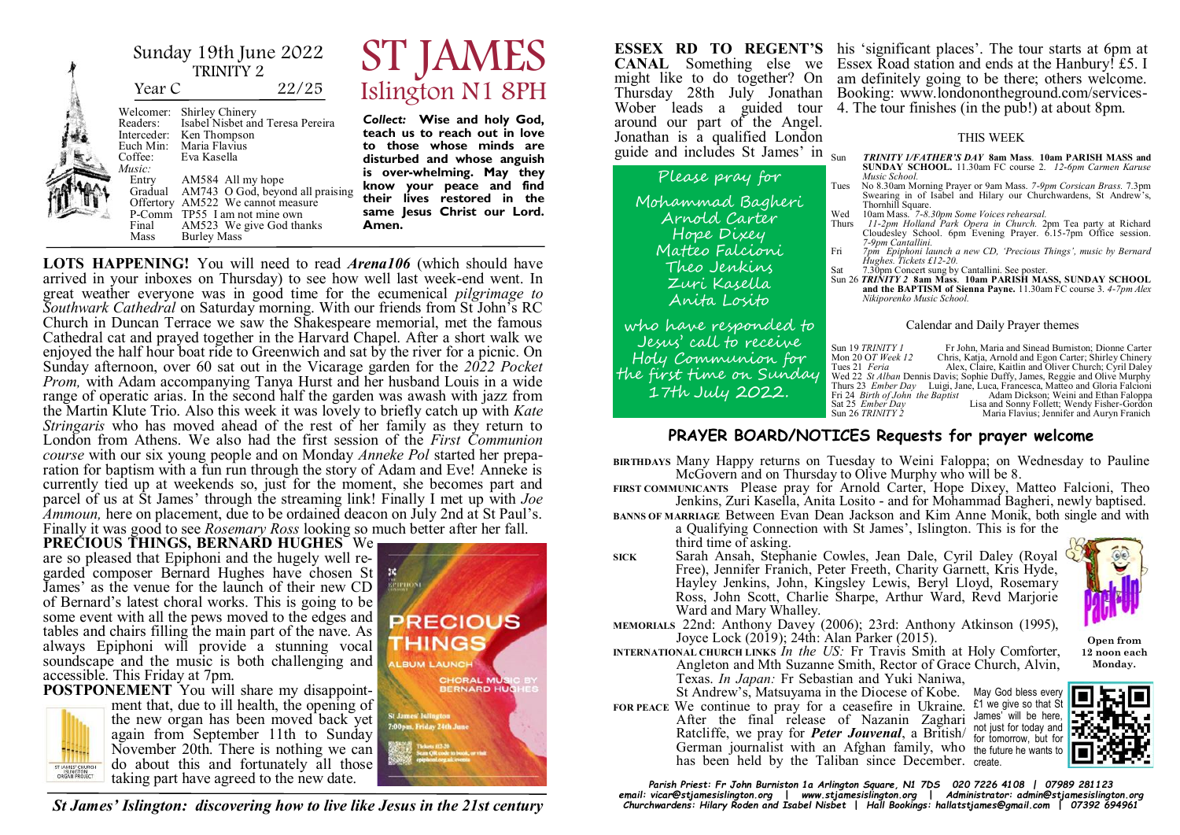|  | Sunday 19th June 2022<br>TRINITY 2<br>22/25<br>Year C                  |                                                                                                                                                                                                                                                                                                                  | <b>ST JAMES</b><br>Islington N1 8PH                                                                                                                                                                                                                      |
|--|------------------------------------------------------------------------|------------------------------------------------------------------------------------------------------------------------------------------------------------------------------------------------------------------------------------------------------------------------------------------------------------------|----------------------------------------------------------------------------------------------------------------------------------------------------------------------------------------------------------------------------------------------------------|
|  | Welcomer:<br>Readers:<br>Euch Min:<br>Music:<br>Entry<br>Final<br>Mass | Shirley Chinery<br>Isabel Nisbet and Teresa Pereira<br>Interceder: Ken Thompson<br>Maria Flavius<br>Coffee: Eva Kasella<br>AM584 All my hope<br>Gradual AM743 O God, beyond all praising<br>Offertory AM522 We cannot measure<br>P-Comm TP55 I am not mine own<br>AM523 We give God thanks<br><b>Burley Mass</b> | Collect: Wise and holy God,<br>teach us to reach out in love<br>to those whose minds are<br>disturbed and whose anguish<br>is over-whelming. May they<br>know your peace and find<br>their lives restored in the<br>same Jesus Christ our Lord.<br>Amen. |

**LOTS HAPPENING!** You will need to read *Arena106* (which should have arrived in your inboxes on Thursday) to see how well last week-end went. In great weather everyone was in good time for the ecumenical *pilgrimage to Southwark Cathedral* on Saturday morning. With our friends from St John's RC Church in Duncan Terrace we saw the Shakespeare memorial, met the famous Cathedral cat and prayed together in the Harvard Chapel. After a short walk we enjoyed the half hour boat ride to Greenwich and sat by the river for a picnic. On Sunday afternoon, over 60 sat out in the Vicarage garden for the *2022 Pocket Prom,* with Adam accompanying Tanya Hurst and her husband Louis in a wide range of operatic arias. In the second half the garden was awash with jazz from the Martin Klute Trio. Also this week it was lovely to briefly catch up with *Kate Stringaris* who has moved ahead of the rest of her family as they return to London from Athens. We also had the first session of the *First Communion course* with our six young people and on Monday *Anneke Pol* started her preparation for baptism with a fun run through the story of Adam and Eve! Anneke is currently tied up at weekends so, just for the moment, she becomes part and parcel of us at St James' through the streaming link! Finally I met up with *Joe Ammoun,* here on placement, due to be ordained deacon on July 2nd at St Paul's. Finally it was good to see *Rosemary Ross* looking so much better after her fall.

**PRECIOUS THINGS, BERNARD HUGHES** We are so pleased that Epiphoni and the hugely well regarded composer Bernard Hughes have chosen St James' as the venue for the launch of their new CD of Bernard's latest choral works. This is going to be some event with all the pews moved to the edges and tables and chairs filling the main part of the nave. As always Epiphoni will provide a stunning vocal soundscape and the music is both challenging and accessible. This Friday at 7pm.

**POSTPONEMENT** You will share my disappoint-



ment that, due to ill health, the opening of the new organ has been moved back yet again from September 11th to Sunday November 20th. There is nothing we can do about this and fortunately all those taking part have agreed to the new date.



**ESSEX RD TO REGENT'S CANAL** Something else we might like to do together? On around our part of the Angel. Jonathan is a qualified London guide and includes St James' in sum

Please pray for Mohammad Bagheri Arnold Carter Hope Dixey Matteo Falcioni Theo Jenkins Zuri Kasella Anita Losito

who have responded to Jesus' call to receive Holy Communion for the first time on Sunday 17th July 2022.

his 'significant places'. The tour starts at 6pm at Essex Road station and ends at the Hanbury! £5. I am definitely going to be there; others welcome. Thursday 28th July Jonathan Booking: www.londonontheground.com/services-Wober leads a guided tour 4. The tour finishes (in the pub!) at about 8pm.

#### THIS WEEK

| Sun | <b>TRINITY 1/FATHER'S DAY 8am Mass. 10am PARISH MASS and</b>    |  |
|-----|-----------------------------------------------------------------|--|
|     | <b>SUNDAY SCHOOL.</b> 11.30am FC course 2. 12-6pm Carmen Karuse |  |
|     | Music School.                                                   |  |

- *Music School.*  Tues No 8.30am Morning Prayer or 9am Mass. *7-9pm Corsican Brass.* 7.3pm Swearing in of Isabel and Hilary our Churchwardens, St Andrew's, Thornhill Square.
- Wed 10am Mass. 7-8.30pm Some Voices rehearsal.<br>Thurs 11-2pm Holland Park Opera in Church. 2
	- 11-2pm Holland Park Opera in Church. 2pm Tea party at Richard Cloudesley School. 6pm Evening Prayer. 6.15-7pm Office session. *7-9pm Cantallini.*
- Fri *7pm Epiphoni launch a new CD, 'Precious Things', music by Bernard Hughes. Tickets £12-20.*
- Sat 7.30pm Concert sung by Cantallini. See poster.
- Sun 26 *TRINITY 2* **8am Mass**. **10am PARISH MASS, SUNDAY SCHOOL and the BAPTISM of Sienna Payne.** 11.30am FC course 3. *4-7pm Alex Nikiporenko Music School.*

#### Calendar and Daily Prayer themes

Sun 19 *TRINITY 1* Fr John, Maria and Sinead Burniston; Dionne Carter Mon 20 O*T Week 12* Chris, Katja, Arnold and Egon Carter; Shirley Chinery Tues 21 Feria Alex, Claire, Kaitlin and Oliver Church; Cyril Daley Wed 22 *St Alban* Dennis Davis; Sophie Duffy, James, Reggie and Olive Murphy Thurs 23 *Ember Day* Luigi, Jane, Luca, Francesca, Matteo and Gloria Falcioni Fri 24 *Birth of John the Baptist* Adam Dickson; Weini and Ethan Faloppa Sat 25 *Ember Day* Lisa and Sonny Follett; Wendy Fisher-Gordon Sat 25 *Ember Day* **Lisa and Somy Follett; Wendy Fisher-Gordon**<br>Sun 26 *TRINITY 2* Maria Flavius; Jennifer and Auryn Franich Maria Flavius; Jennifer and Auryn Franich

# **PRAYER BOARD/NOTICES Requests for prayer welcome**

**BIRTHDAYS** Many Happy returns on Tuesday to Weini Faloppa; on Wednesday to Pauline McGovern and on Thursday to Olive Murphy who will be 8.

**FIRST COMMUNICANTS** Please pray for Arnold Carter, Hope Dixey, Matteo Falcioni, Theo Jenkins, Zuri Kasella, Anita Losito - and for Mohammad Bagheri, newly baptised.

**BANNS OF MARRIAGE** Between Evan Dean Jackson and Kim Anne Monik, both single and with a Qualifying Connection with St James', Islington. This is for the third time of asking.

**SICK** Sarah Ansah, Stephanie Cowles, Jean Dale, Cyril Daley (Royal Free), Jennifer Franich, Peter Freeth, Charity Garnett, Kris Hyde, Hayley Jenkins, John, Kingsley Lewis, Beryl Lloyd, Rosemary Ross, John Scott, Charlie Sharpe, Arthur Ward, Revd Marjorie Ward and Mary Whalley.



**Open from** 

**Monday.**

- **MEMORIALS** 22nd: Anthony Davey (2006); 23rd: Anthony Atkinson (1995), Joyce Lock (2019); 24th: Alan Parker (2015).
- **INTERNATIONAL CHURCH LINKS** *In the US:* Fr Travis Smith at Holy Comforter, Angleton and Mth Suzanne Smith, Rector of Grace Church, Alvin, Texas. *In Japan:* Fr Sebastian and Yuki Naniwa, **12 noon each**

St Andrew's, Matsuyama in the Diocese of Kobe. May God bless every **FOR PEACE** We continue to pray for a ceasefire in Ukraine. £1 we give so that St After the final release of Nazanin Zaghari Ratcliffe, we pray for *Peter Jouvenal*, a British/ German journalist with an Afghan family, who the future he wants to has been held by the Taliban since December. create.

James' will be here, not just for today and for tomorrow, but for



Parish Priest: Fr John Burniston 1a Arlington Square, N1 7DS 020 7226 4108 | 07989 281123<br>email: vicar@stjamesislington.org | www.stjamesislington.org | Administrator: admin@stjamesislington.org *Churchwardens: Hilary Roden and Isabel Nisbet* **|** *Hall Bookings: hallatstjames@gmail.com* **|** *07392 694961* 

*St James' Islington: discovering how to live like Jesus in the 21st century*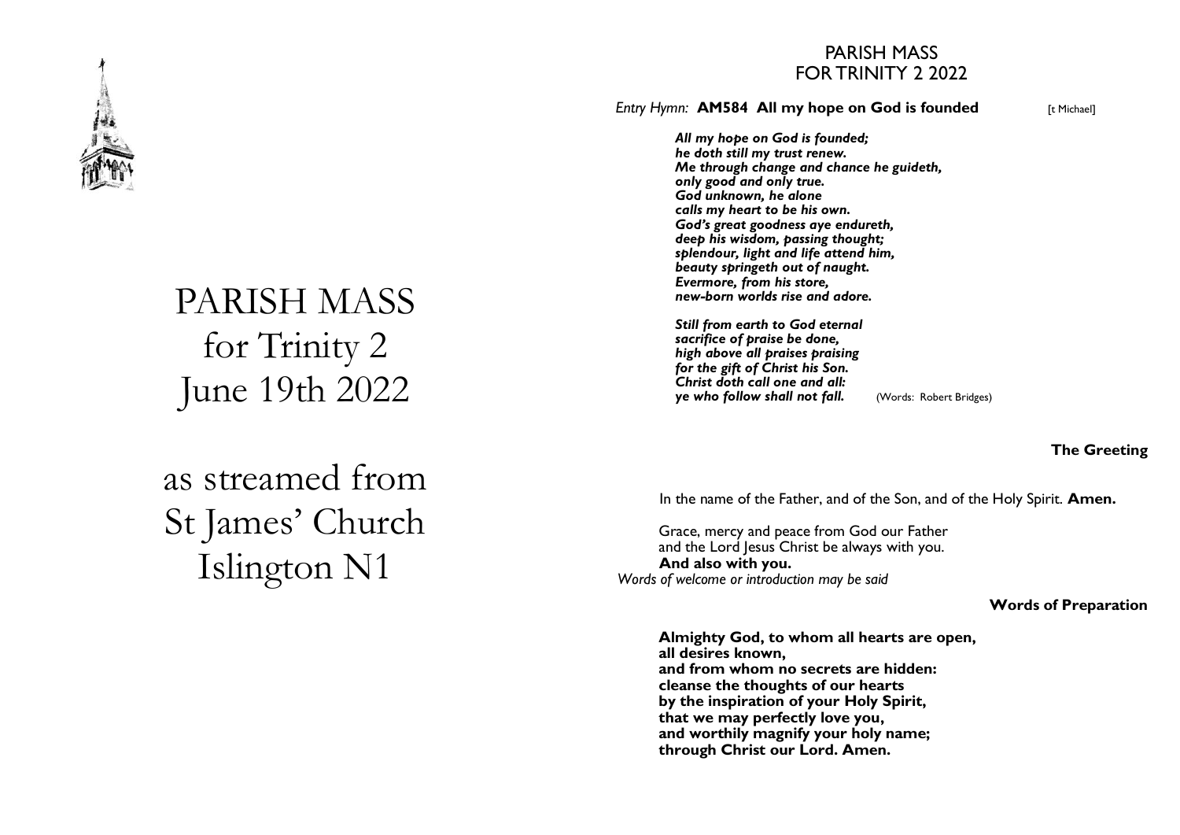# PARISH MASS FOR TRINITY 2 2022

*Entry Hymn:* **AM584 All my hope on God is founded <b>Example 2** It Michaell

*All my hope on God is founded; he doth still my trust renew. Me through change and chance he guideth, only good and only true. God unknown, he alone calls my heart to be his own. God's great goodness aye endureth, deep his wisdom, passing thought; splendour, light and life attend him, beauty springeth out of naught. Evermore, from his store, new-born worlds rise and adore.* 

*Still from earth to God eternal sacrifice of praise be done, high above all praises praising for the gift of Christ his Son. Christ doth call one and all: ye who follow shall not fall.* (Words: Robert Bridges)

#### **The Greeting**

In the name of the Father, and of the Son, and of the Holy Spirit. **Amen.**

Grace, mercy and peace from God our Father and the Lord Jesus Christ be always with you. **And also with you.**  *Words of welcome or introduction may be said*

#### **Words of Preparation**

**Almighty God, to whom all hearts are open, all desires known, and from whom no secrets are hidden: cleanse the thoughts of our hearts by the inspiration of your Holy Spirit, that we may perfectly love you, and worthily magnify your holy name; through Christ our Lord. Amen.** 

# PARISH MASS for Trinity 2 June 19th 2022

as streamed from

St James' Church

Islington N1

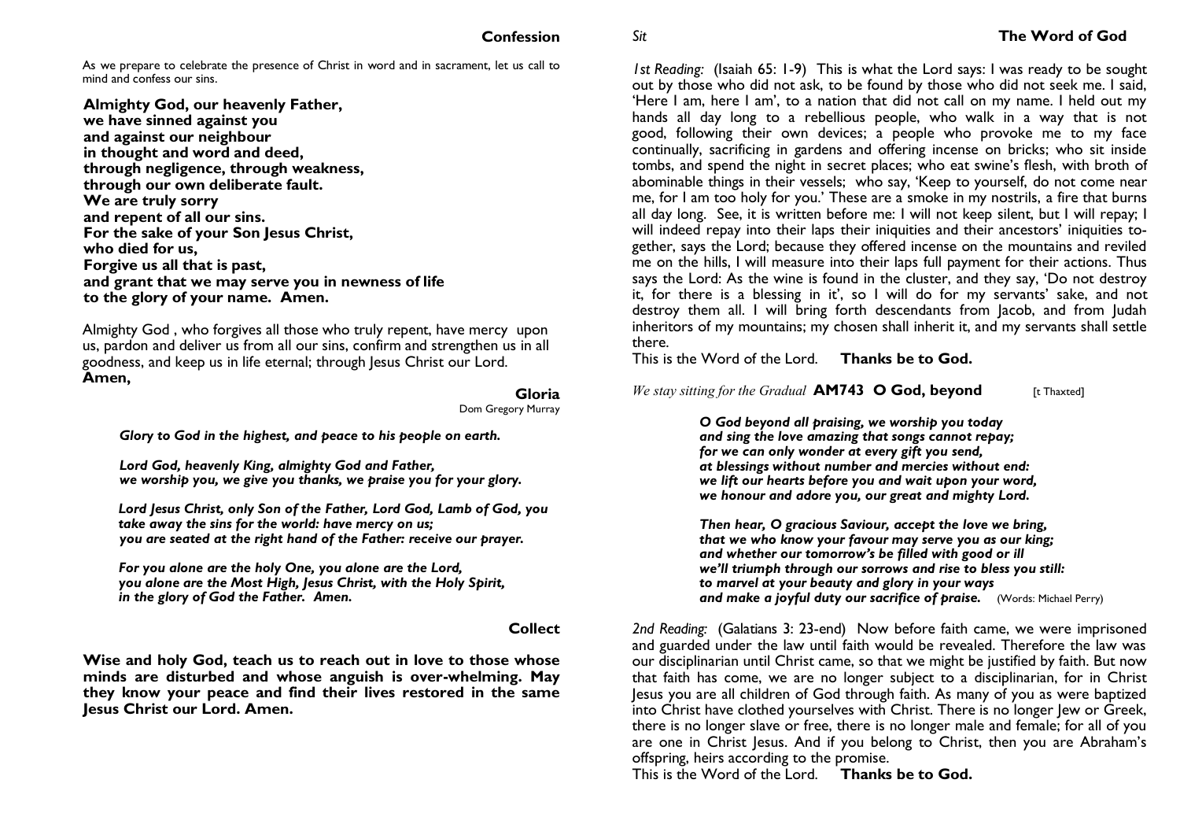As we prepare to celebrate the presence of Christ in word and in sacrament, let us call to mind and confess our sins.

**Almighty God, our heavenly Father, we have sinned against you and against our neighbour in thought and word and deed, through negligence, through weakness, through our own deliberate fault. We are truly sorry and repent of all our sins. For the sake of your Son Jesus Christ, who died for us, Forgive us all that is past, and grant that we may serve you in newness of life to the glory of your name. Amen.** 

Almighty God , who forgives all those who truly repent, have mercy upon us, pardon and deliver us from all our sins, confirm and strengthen us in all goodness, and keep us in life eternal; through Jesus Christ our Lord. **Amen,**

#### **Gloria**

Dom Gregory Murray

*Glory to God in the highest, and peace to his people on earth.*

*Lord God, heavenly King, almighty God and Father, we worship you, we give you thanks, we praise you for your glory.* 

*Lord Jesus Christ, only Son of the Father, Lord God, Lamb of God, you take away the sins for the world: have mercy on us; you are seated at the right hand of the Father: receive our prayer.*

*For you alone are the holy One, you alone are the Lord, you alone are the Most High, Jesus Christ, with the Holy Spirit, in the glory of God the Father. Amen.* 

#### **Collect**

**Wise and holy God, teach us to reach out in love to those whose minds are disturbed and whose anguish is over-whelming. May they know your peace and find their lives restored in the same Jesus Christ our Lord. Amen.** 

*1st Reading:* (Isaiah 65: 1-9) This is what the Lord says: I was ready to be sought out by those who did not ask, to be found by those who did not seek me. I said, 'Here I am, here I am', to a nation that did not call on my name. I held out my hands all day long to a rebellious people, who walk in a way that is not good, following their own devices; a people who provoke me to my face continually, sacrificing in gardens and offering incense on bricks; who sit inside tombs, and spend the night in secret places; who eat swine's flesh, with broth of abominable things in their vessels; who say, 'Keep to yourself, do not come near me, for I am too holy for you.' These are a smoke in my nostrils, a fire that burns all day long. See, it is written before me: I will not keep silent, but I will repay; I will indeed repay into their laps their iniquities and their ancestors' iniquities together, says the Lord; because they offered incense on the mountains and reviled me on the hills, I will measure into their laps full payment for their actions. Thus says the Lord: As the wine is found in the cluster, and they say, 'Do not destroy it, for there is a blessing in it', so I will do for my servants' sake, and not destroy them all. I will bring forth descendants from Jacob, and from Judah inheritors of my mountains; my chosen shall inherit it, and my servants shall settle there.

This is the Word of the Lord. **Thanks be to God.** 

*We stay sitting for the Gradual* **AM743 O God, beyond** [t Thaxted]

*O God beyond all praising, we worship you today and sing the love amazing that songs cannot repay; for we can only wonder at every gift you send, at blessings without number and mercies without end: we lift our hearts before you and wait upon your word, we honour and adore you, our great and mighty Lord.* 

*Then hear, O gracious Saviour, accept the love we bring, that we who know your favour may serve you as our king; and whether our tomorrow's be filled with good or ill we'll triumph through our sorrows and rise to bless you still: to marvel at your beauty and glory in your ways and make a joyful duty our sacrifice of praise.* (Words: Michael Perry)

*2nd Reading:* (Galatians 3: 23-end) Now before faith came, we were imprisoned and guarded under the law until faith would be revealed. Therefore the law was our disciplinarian until Christ came, so that we might be justified by faith. But now that faith has come, we are no longer subject to a disciplinarian, for in Christ Jesus you are all children of God through faith. As many of you as were baptized into Christ have clothed yourselves with Christ. There is no longer lew or Greek, there is no longer slave or free, there is no longer male and female; for all of you are one in Christ Jesus. And if you belong to Christ, then you are Abraham's offspring, heirs according to the promise.

This is the Word of the Lord. **Thanks be to God.**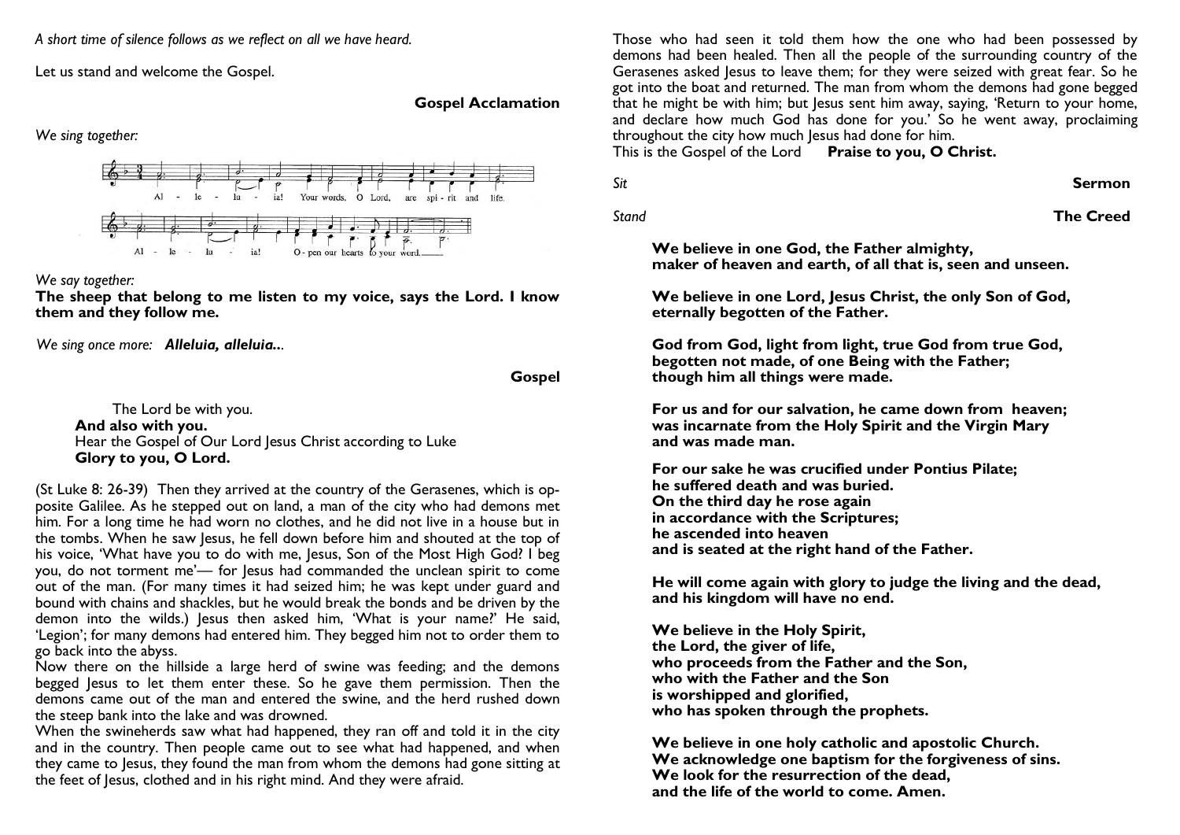*A short time of silence follows as we reflect on all we have heard.* 

Let us stand and welcome the Gospel.

#### **Gospel Acclamation**

*We sing together:*



#### *We say together:*

**The sheep that belong to me listen to my voice, says the Lord. I know them and they follow me.** 

*We sing once more: Alleluia, alleluia...*

**Gospel**

The Lord be with you. **And also with you.**  Hear the Gospel of Our Lord Jesus Christ according to Luke **Glory to you, O Lord.**

(St Luke 8: 26-39) Then they arrived at the country of the Gerasenes, which is opposite Galilee. As he stepped out on land, a man of the city who had demons met him. For a long time he had worn no clothes, and he did not live in a house but in the tombs. When he saw Jesus, he fell down before him and shouted at the top of his voice, 'What have you to do with me, Jesus, Son of the Most High God? I beg you, do not torment me'— for Jesus had commanded the unclean spirit to come out of the man. (For many times it had seized him; he was kept under guard and bound with chains and shackles, but he would break the bonds and be driven by the demon into the wilds.) Jesus then asked him, 'What is your name?' He said, 'Legion'; for many demons had entered him. They begged him not to order them to go back into the abyss.

Now there on the hillside a large herd of swine was feeding; and the demons begged Jesus to let them enter these. So he gave them permission. Then the demons came out of the man and entered the swine, and the herd rushed down the steep bank into the lake and was drowned.

When the swineherds saw what had happened, they ran off and told it in the city and in the country. Then people came out to see what had happened, and when they came to Jesus, they found the man from whom the demons had gone sitting at the feet of Jesus, clothed and in his right mind. And they were afraid.

Those who had seen it told them how the one who had been possessed by demons had been healed. Then all the people of the surrounding country of the Gerasenes asked Jesus to leave them; for they were seized with great fear. So he got into the boat and returned. The man from whom the demons had gone begged that he might be with him; but Jesus sent him away, saying, 'Return to your home, and declare how much God has done for you.' So he went away, proclaiming throughout the city how much lesus had done for him.

This is the Gospel of the Lord **Praise to you, O Christ.** 

*Stand* **The Creed**

*Sit* **Sermon**

**We believe in one God, the Father almighty, maker of heaven and earth, of all that is, seen and unseen.** 

**We believe in one Lord, Jesus Christ, the only Son of God, eternally begotten of the Father.** 

**God from God, light from light, true God from true God, begotten not made, of one Being with the Father; though him all things were made.**

**For us and for our salvation, he came down from heaven; was incarnate from the Holy Spirit and the Virgin Mary and was made man.** 

**For our sake he was crucified under Pontius Pilate; he suffered death and was buried. On the third day he rose again in accordance with the Scriptures; he ascended into heaven and is seated at the right hand of the Father.**

**He will come again with glory to judge the living and the dead, and his kingdom will have no end.** 

**We believe in the Holy Spirit, the Lord, the giver of life, who proceeds from the Father and the Son, who with the Father and the Son is worshipped and glorified, who has spoken through the prophets.** 

**We believe in one holy catholic and apostolic Church. We acknowledge one baptism for the forgiveness of sins. We look for the resurrection of the dead, and the life of the world to come. Amen.**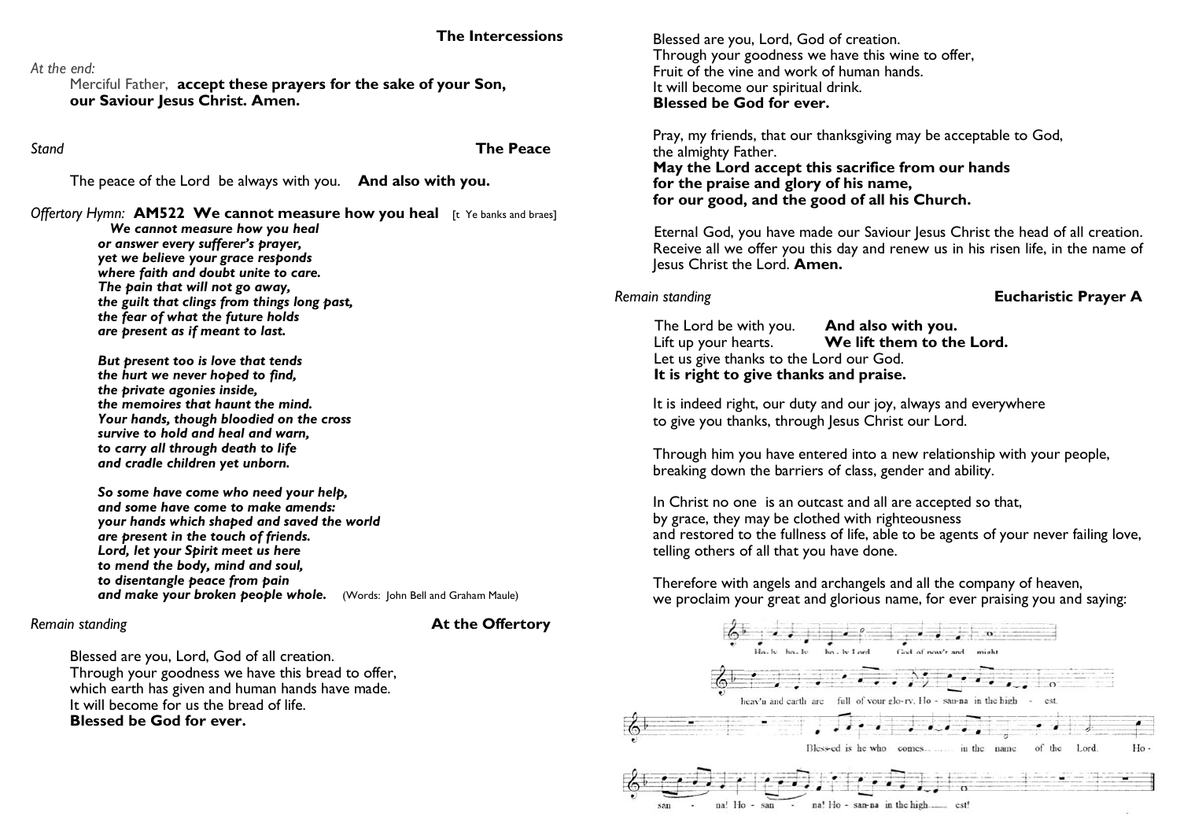#### **The Intercessions**

*At the end:*

Merciful Father, **accept these prayers for the sake of your Son,**  our Saviour **Jesus Christ. Amen.** 

#### *Stand* **The Peace**

The peace of the Lord be always with you. **And also with you.** 

*Offertory Hymn:* **AM522 We cannot measure how you heal** [t Ye banks and braes] *We cannot measure how you heal or answer every sufferer's prayer, yet we believe your grace responds where faith and doubt unite to care. The pain that will not go away, the guilt that clings from things long past, the fear of what the future holds are present as if meant to last.* 

> *But present too is love that tends the hurt we never hoped to find, the private agonies inside, the memoires that haunt the mind. Your hands, though bloodied on the cross survive to hold and heal and warn, to carry all through death to life and cradle children yet unborn.*

*So some have come who need your help, and some have come to make amends: your hands which shaped and saved the world are present in the touch of friends. Lord, let your Spirit meet us here to mend the body, mind and soul, to disentangle peace from pain* and make your broken people whole. (Words: John Bell and Graham Maule)

**Remain standing At the Offertory At the Offertory** 

Blessed are you, Lord, God of all creation. Through your goodness we have this bread to offer, which earth has given and human hands have made. It will become for us the bread of life. **Blessed be God for ever.** 

Blessed are you, Lord, God of creation. Through your goodness we have this wine to offer, Fruit of the vine and work of human hands. It will become our spiritual drink. **Blessed be God for ever.** 

Pray, my friends, that our thanksgiving may be acceptable to God, the almighty Father. **May the Lord accept this sacrifice from our hands for the praise and glory of his name, for our good, and the good of all his Church.** 

Eternal God, you have made our Saviour Jesus Christ the head of all creation. Receive all we offer you this day and renew us in his risen life, in the name of Jesus Christ the Lord. **Amen.** 

#### *Remain standing* **Eucharistic Prayer A**

The Lord be with you. **And also with you.** Lift up your hearts. **We lift them to the Lord.** Let us give thanks to the Lord our God. **It is right to give thanks and praise.**

It is indeed right, our duty and our joy, always and everywhere to give you thanks, through Jesus Christ our Lord.

Through him you have entered into a new relationship with your people, breaking down the barriers of class, gender and ability.

In Christ no one is an outcast and all are accepted so that, by grace, they may be clothed with righteousness and restored to the fullness of life, able to be agents of your never failing love, telling others of all that you have done.

#### Therefore with angels and archangels and all the company of heaven, we proclaim your great and glorious name, for ever praising you and saying:

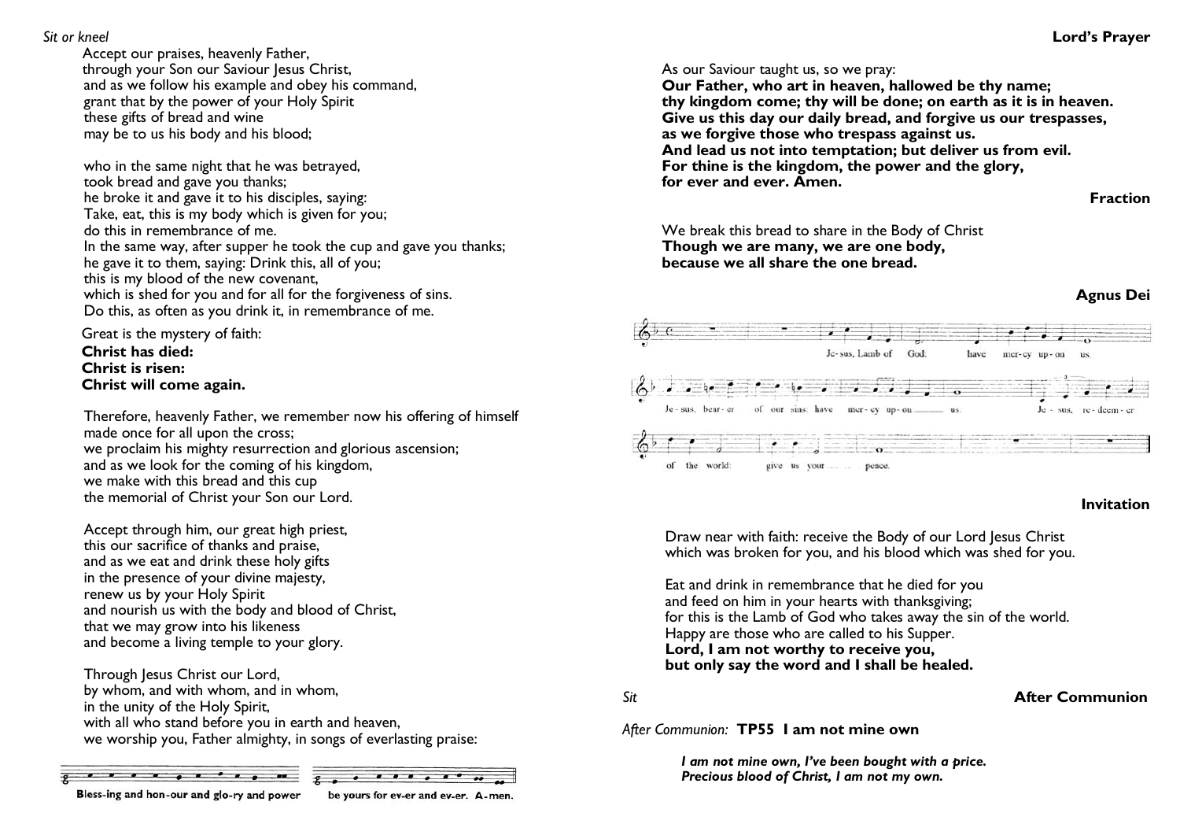Accept our praises, heavenly Father, through your Son our Saviour Jesus Christ, and as we follow his example and obey his command, grant that by the power of your Holy Spirit these gifts of bread and wine may be to us his body and his blood;

who in the same night that he was betrayed, took bread and gave you thanks; he broke it and gave it to his disciples, saying: Take, eat, this is my body which is given for you; do this in remembrance of me. In the same way, after supper he took the cup and gave you thanks; he gave it to them, saying: Drink this, all of you; this is my blood of the new covenant, which is shed for you and for all for the forgiveness of sins. Do this, as often as you drink it, in remembrance of me.

Great is the mystery of faith: **Christ has died: Christ is risen: Christ will come again.**

Therefore, heavenly Father, we remember now his offering of himself made once for all upon the cross; we proclaim his mighty resurrection and glorious ascension; and as we look for the coming of his kingdom, we make with this bread and this cup the memorial of Christ your Son our Lord.

Accept through him, our great high priest, this our sacrifice of thanks and praise, and as we eat and drink these holy gifts in the presence of your divine majesty, renew us by your Holy Spirit and nourish us with the body and blood of Christ, that we may grow into his likeness and become a living temple to your glory.

Through Jesus Christ our Lord, by whom, and with whom, and in whom, in the unity of the Holy Spirit, with all who stand before you in earth and heaven, we worship you, Father almighty, in songs of everlasting praise:

 $\mathbf{r}$  , and the same of the same of the same of the same of the same of the same of the same of the same of the same of the same of the same of the same of the same of the same of the same of the same of the same of th  $\cdot$  . . . . . . .



be yours for ev-er and ev-er. A-men.

As our Saviour taught us, so we pray:

**Our Father, who art in heaven, hallowed be thy name; thy kingdom come; thy will be done; on earth as it is in heaven. Give us this day our daily bread, and forgive us our trespasses, as we forgive those who trespass against us. And lead us not into temptation; but deliver us from evil. For thine is the kingdom, the power and the glory, for ever and ever. Amen.** 

**Fraction**

We break this bread to share in the Body of Christ **Though we are many, we are one body, because we all share the one bread.** 





# **Invitation**

Draw near with faith: receive the Body of our Lord Jesus Christ which was broken for you, and his blood which was shed for you.

Eat and drink in remembrance that he died for you and feed on him in your hearts with thanksgiving; for this is the Lamb of God who takes away the sin of the world. Happy are those who are called to his Supper. **Lord, I am not worthy to receive you, but only say the word and I shall be healed.** 

#### *Sit* **After Communion**

#### *After Communion:* **TP55 I am not mine own**

*I am not mine own, I've been bought with a price. Precious blood of Christ, I am not my own.*